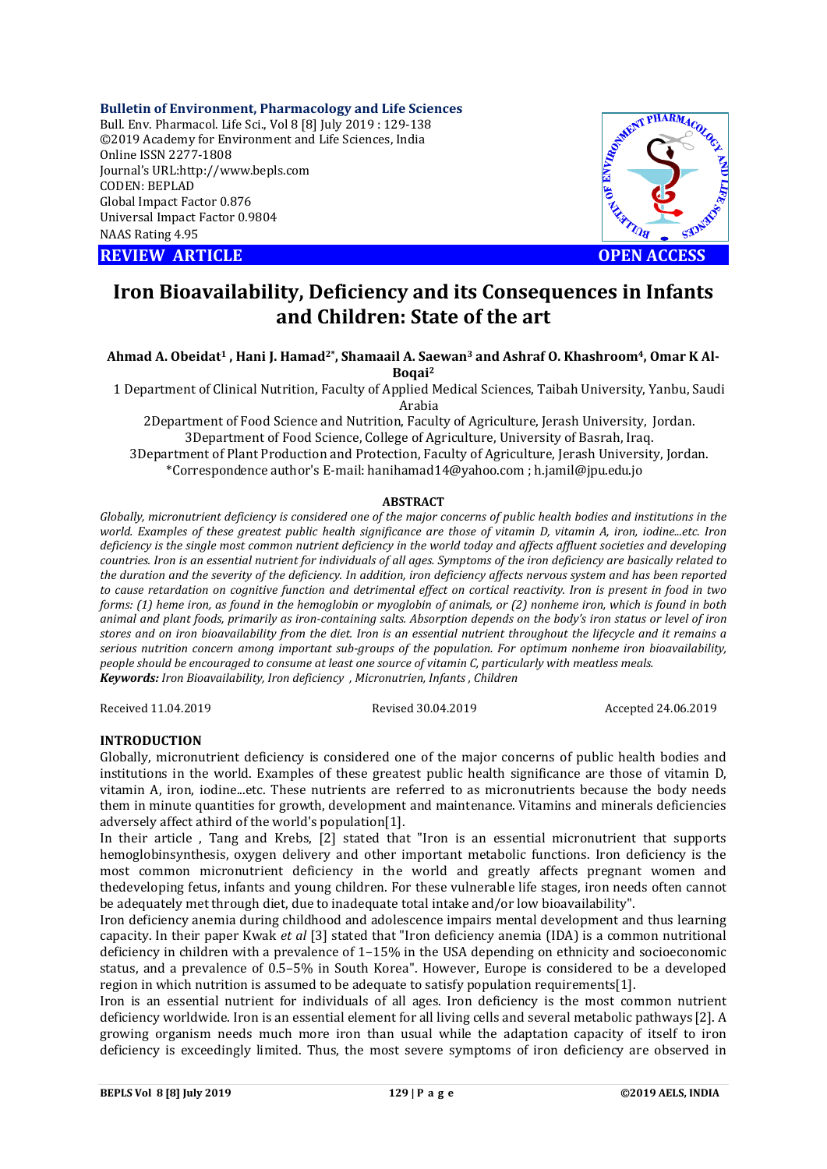**Bulletin of Environment, Pharmacology and Life Sciences** Bull. Env. Pharmacol. Life Sci., Vol 8 [8] July 2019 : 129-138 ©2019 Academy for Environment and Life Sciences, India Online ISSN 2277-1808 Journal's URL:http://www.bepls.com CODEN: BEPLAD Global Impact Factor 0.876 Universal Impact Factor 0.9804 NAAS Rating 4.95

**REVIEW ARTICLE CONSUMING ARTICLE** 



# **Iron Bioavailability, Deficiency and its Consequences in Infants and Children: State of the art**

## Ahmad A. Obeidat<sup>1</sup>, Hani J. Hamad<sup>2\*</sup>, Shamaail A. Saewan<sup>3</sup> and Ashraf O. Khashroom<sup>4</sup>, Omar K Al-**Boqai2**

1 Department of Clinical Nutrition, Faculty of Applied Medical Sciences, Taibah University, Yanbu, Saudi Arabia

2Department of Food Science and Nutrition, Faculty of Agriculture, Jerash University, Jordan. 3Department of Food Science, College of Agriculture, University of Basrah, Iraq. 3Department of Plant Production and Protection, Faculty of Agriculture, Jerash University, Jordan. \*Correspondence author's E-mail: hanihamad14@yahoo.com ; h.jamil@jpu.edu.jo

#### **ABSTRACT**

*Globally, micronutrient deficiency is considered one of the major concerns of public health bodies and institutions in the world. Examples of these greatest public health significance are those of vitamin D, vitamin A, iron, iodine...etc. Iron deficiency is the single most common nutrient deficiency in the world today and affects affluent societies and developing countries. Iron is an essential nutrient for individuals of all ages. Symptoms of the iron deficiency are basically related to the duration and the severity of the deficiency. In addition, iron deficiency affects nervous system and has been reported to cause retardation on cognitive function and detrimental effect on cortical reactivity. Iron is present in food in two forms: (1) heme iron, as found in the hemoglobin or myoglobin of animals, or (2) nonheme iron, which is found in both animal and plant foods, primarily as iron-containing salts. Absorption depends on the body's iron status or level of iron stores and on iron bioavailability from the diet. Iron is an essential nutrient throughout the lifecycle and it remains a serious nutrition concern among important sub-groups of the population. For optimum nonheme iron bioavailability, people should be encouraged to consume at least one source of vitamin C, particularly with meatless meals. Keywords: Iron Bioavailability, Iron deficiency , Micronutrien, Infants , Children*

#### Received 11.04.2019 Revised 30.04.2019 Accepted 24.06.2019

## **INTRODUCTION**

Globally, micronutrient deficiency is considered one of the major concerns of public health bodies and institutions in the world. Examples of these greatest public health significance are those of vitamin D, vitamin A, iron, iodine...etc. These nutrients are referred to as micronutrients because the body needs them in minute quantities for growth, development and maintenance. Vitamins and minerals deficiencies adversely affect athird of the world's population[1].

In their article , Tang and Krebs, [2] stated that "Iron is an essential micronutrient that supports hemoglobinsynthesis, oxygen delivery and other important metabolic functions. Iron deficiency is the most common micronutrient deficiency in the world and greatly affects pregnant women and thedeveloping fetus, infants and young children. For these vulnerable life stages, iron needs often cannot be adequately met through diet, due to inadequate total intake and/or low bioavailability".

Iron deficiency anemia during childhood and adolescence impairs mental development and thus learning capacity. In their paper Kwak *et al* [3] stated that "Iron deficiency anemia (IDA) is a common nutritional deficiency in children with a prevalence of 1–15% in the USA depending on ethnicity and socioeconomic status, and a prevalence of 0.5–5% in South Korea". However, Europe is considered to be a developed region in which nutrition is assumed to be adequate to satisfy population requirements[1].

Iron is an essential nutrient for individuals of all ages. Iron deficiency is the most common nutrient deficiency worldwide. Iron is an essential element for all living cells and several metabolic pathways [2]. A growing organism needs much more iron than usual while the adaptation capacity of itself to iron deficiency is exceedingly limited. Thus, the most severe symptoms of iron deficiency are observed in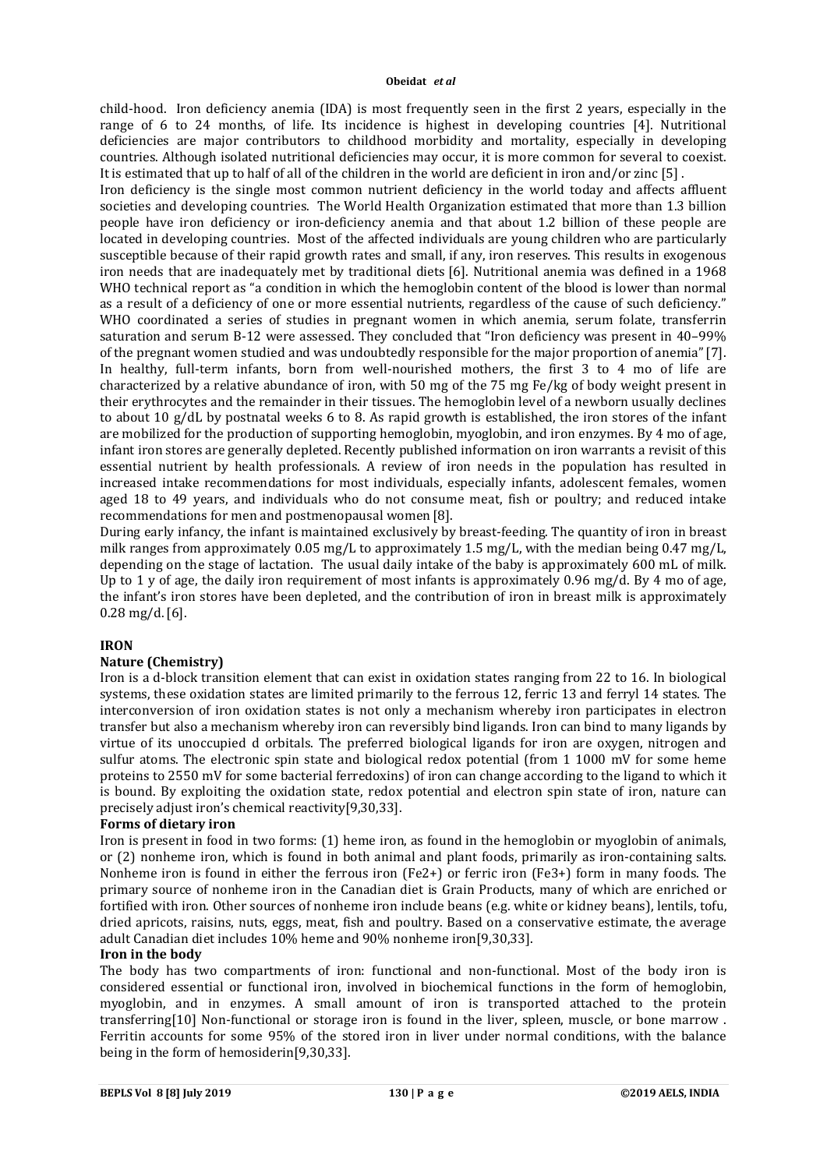child-hood. Iron deficiency anemia (IDA) is most frequently seen in the first 2 years, especially in the range of 6 to 24 months, of life. Its incidence is highest in developing countries [4]. Nutritional deficiencies are major contributors to childhood morbidity and mortality, especially in developing countries. Although isolated nutritional deficiencies may occur, it is more common for several to coexist. It is estimated that up to half of all of the children in the world are deficient in iron and/or zinc [5] .

Iron deficiency is the single most common nutrient deficiency in the world today and affects affluent societies and developing countries. The World Health Organization estimated that more than 1.3 billion people have iron deficiency or iron-deficiency anemia and that about 1.2 billion of these people are located in developing countries. Most of the affected individuals are young children who are particularly susceptible because of their rapid growth rates and small, if any, iron reserves. This results in exogenous iron needs that are inadequately met by traditional diets [6]. Nutritional anemia was defined in a 1968 WHO technical report as "a condition in which the hemoglobin content of the blood is lower than normal as a result of a deficiency of one or more essential nutrients, regardless of the cause of such deficiency." WHO coordinated a series of studies in pregnant women in which anemia, serum folate, transferrin saturation and serum B-12 were assessed. They concluded that "Iron deficiency was present in 40–99% of the pregnant women studied and was undoubtedly responsible for the major proportion of anemia"[7]. In healthy, full-term infants, born from well-nourished mothers, the first 3 to 4 mo of life are characterized by a relative abundance of iron, with 50 mg of the 75 mg Fe/kg of body weight present in their erythrocytes and the remainder in their tissues. The hemoglobin level of a newborn usually declines to about 10 g/dL by postnatal weeks 6 to 8. As rapid growth is established, the iron stores of the infant are mobilized for the production of supporting hemoglobin, myoglobin, and iron enzymes. By 4 mo of age, infant iron stores are generally depleted. Recently published information on iron warrants a revisit of this essential nutrient by health professionals. A review of iron needs in the population has resulted in increased intake recommendations for most individuals, especially infants, adolescent females, women aged 18 to 49 years, and individuals who do not consume meat, fish or poultry; and reduced intake recommendations for men and postmenopausal women [8].

During early infancy, the infant is maintained exclusively by breast-feeding. The quantity of iron in breast milk ranges from approximately 0.05 mg/L to approximately 1.5 mg/L, with the median being 0.47 mg/L, depending on the stage of lactation. The usual daily intake of the baby is approximately 600 mL of milk. Up to 1 y of age, the daily iron requirement of most infants is approximately 0.96 mg/d. By 4 mo of age, the infant's iron stores have been depleted, and the contribution of iron in breast milk is approximately 0.28 mg/d.[6].

## **IRON**

## **Nature (Chemistry)**

Iron is a d-block transition element that can exist in oxidation states ranging from 22 to 16. In biological systems, these oxidation states are limited primarily to the ferrous 12, ferric 13 and ferryl 14 states. The interconversion of iron oxidation states is not only a mechanism whereby iron participates in electron transfer but also a mechanism whereby iron can reversibly bind ligands. Iron can bind to many ligands by virtue of its unoccupied d orbitals. The preferred biological ligands for iron are oxygen, nitrogen and sulfur atoms. The electronic spin state and biological redox potential (from 1 1000 mV for some heme proteins to 2550 mV for some bacterial ferredoxins) of iron can change according to the ligand to which it is bound. By exploiting the oxidation state, redox potential and electron spin state of iron, nature can precisely adjust iron's chemical reactivity[9,30,33].

## **Forms of dietary iron**

Iron is present in food in two forms: (1) heme iron, as found in the hemoglobin or myoglobin of animals, or (2) nonheme iron, which is found in both animal and plant foods, primarily as iron-containing salts. Nonheme iron is found in either the ferrous iron (Fe2+) or ferric iron (Fe3+) form in many foods. The primary source of nonheme iron in the Canadian diet is Grain Products, many of which are enriched or fortified with iron. Other sources of nonheme iron include beans (e.g. white or kidney beans), lentils, tofu, dried apricots, raisins, nuts, eggs, meat, fish and poultry. Based on a conservative estimate, the average adult Canadian diet includes 10% heme and 90% nonheme iron[9,30,33].

#### **Iron in the body**

The body has two compartments of iron: functional and non-functional. Most of the body iron is considered essential or functional iron, involved in biochemical functions in the form of hemoglobin, myoglobin, and in enzymes. A small amount of iron is transported attached to the protein transferring[10] Non-functional or storage iron is found in the liver, spleen, muscle, or bone marrow . Ferritin accounts for some 95% of the stored iron in liver under normal conditions, with the balance being in the form of hemosiderin[9,30,33].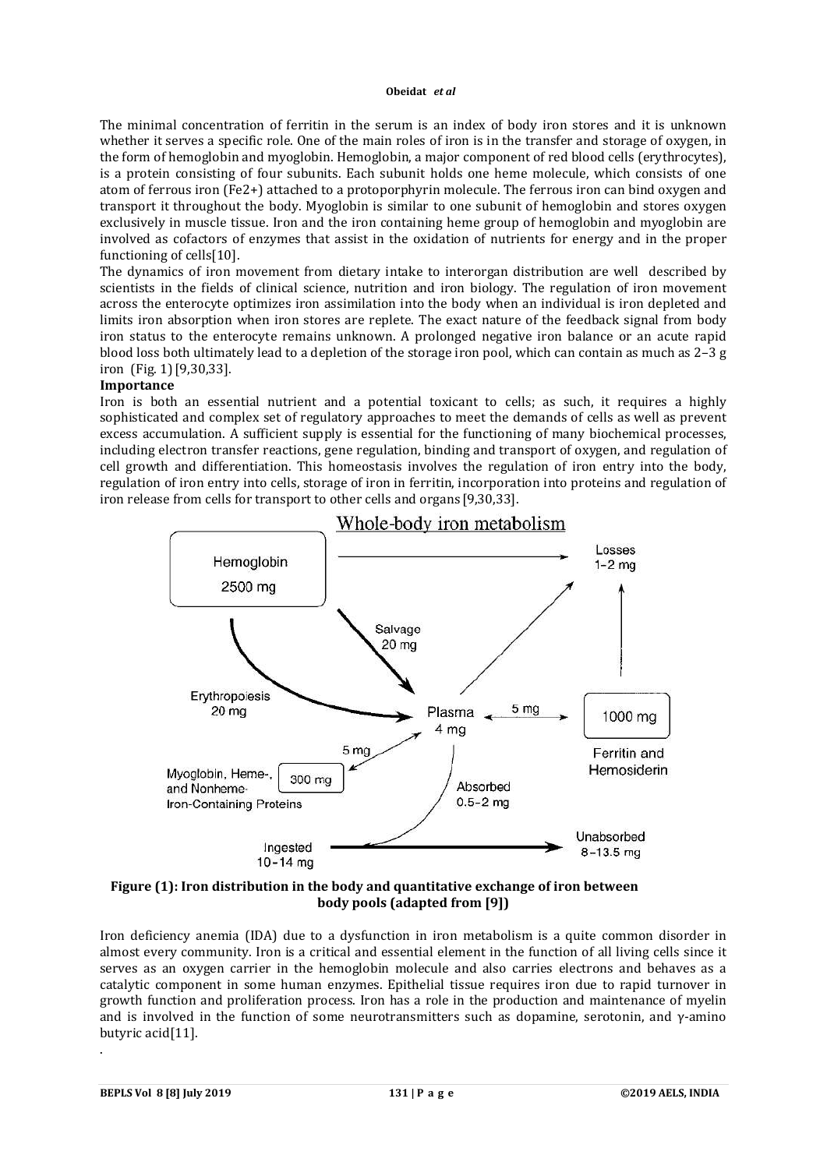The minimal concentration of ferritin in the serum is an index of body iron stores and it is unknown whether it serves a specific role. One of the main roles of iron is in the transfer and storage of oxygen, in the form of hemoglobin and myoglobin. Hemoglobin, a major component of red blood cells (erythrocytes), is a protein consisting of four subunits. Each subunit holds one heme molecule, which consists of one atom of ferrous iron (Fe2+) attached to a protoporphyrin molecule. The ferrous iron can bind oxygen and transport it throughout the body. Myoglobin is similar to one subunit of hemoglobin and stores oxygen exclusively in muscle tissue. Iron and the iron containing heme group of hemoglobin and myoglobin are involved as cofactors of enzymes that assist in the oxidation of nutrients for energy and in the proper functioning of cells[10].

The dynamics of iron movement from dietary intake to interorgan distribution are well described by scientists in the fields of clinical science, nutrition and iron biology. The regulation of iron movement across the enterocyte optimizes iron assimilation into the body when an individual is iron depleted and limits iron absorption when iron stores are replete. The exact nature of the feedback signal from body iron status to the enterocyte remains unknown. A prolonged negative iron balance or an acute rapid blood loss both ultimately lead to a depletion of the storage iron pool, which can contain as much as 2–3 g iron (Fig. 1)[9,30,33].

### **Importance**

Iron is both an essential nutrient and a potential toxicant to cells; as such, it requires a highly sophisticated and complex set of regulatory approaches to meet the demands of cells as well as prevent excess accumulation. A sufficient supply is essential for the functioning of many biochemical processes, including electron transfer reactions, gene regulation, binding and transport of oxygen, and regulation of cell growth and differentiation. This homeostasis involves the regulation of iron entry into the body, regulation of iron entry into cells, storage of iron in ferritin, incorporation into proteins and regulation of iron release from cells for transport to other cells and organs [9,30,33].



### **Figure (1): Iron distribution in the body and quantitative exchange of iron between body pools (adapted from [9])**

Iron deficiency anemia (IDA) due to a dysfunction in iron metabolism is a quite common disorder in almost every community. Iron is a critical and essential element in the function of all living cells since it serves as an oxygen carrier in the hemoglobin molecule and also carries electrons and behaves as a catalytic component in some human enzymes. Epithelial tissue requires iron due to rapid turnover in growth function and proliferation process. Iron has a role in the production and maintenance of myelin and is involved in the function of some neurotransmitters such as dopamine, serotonin, and  $\gamma$ -amino butyric acid[11].

.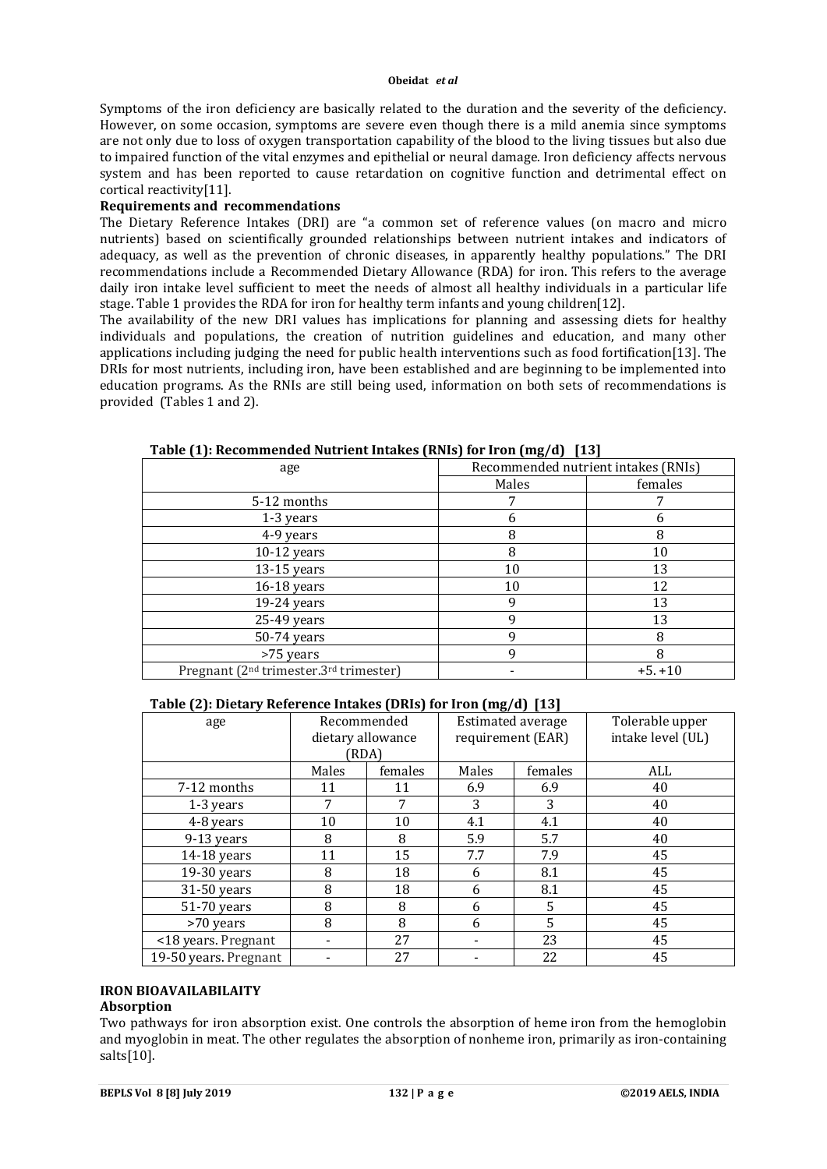Symptoms of the iron deficiency are basically related to the duration and the severity of the deficiency. However, on some occasion, symptoms are severe even though there is a mild anemia since symptoms are not only due to loss of oxygen transportation capability of the blood to the living tissues but also due to impaired function of the vital enzymes and epithelial or neural damage. Iron deficiency affects nervous system and has been reported to cause retardation on cognitive function and detrimental effect on cortical reactivity[11].

## **Requirements and recommendations**

The Dietary Reference Intakes (DRI) are "a common set of reference values (on macro and micro nutrients) based on scientifically grounded relationships between nutrient intakes and indicators of adequacy, as well as the prevention of chronic diseases, in apparently healthy populations." The DRI recommendations include a Recommended Dietary Allowance (RDA) for iron. This refers to the average daily iron intake level sufficient to meet the needs of almost all healthy individuals in a particular life stage. Table 1 provides the RDA for iron for healthy term infants and young children[12].

The availability of the new DRI values has implications for planning and assessing diets for healthy individuals and populations, the creation of nutrition guidelines and education, and many other applications including judging the need for public health interventions such as food fortification[13]. The DRIs for most nutrients, including iron, have been established and are beginning to be implemented into education programs. As the RNIs are still being used, information on both sets of recommendations is provided (Tables 1 and 2).

| $\sim$ $\sim$<br>age                                           | <i><u>or Just</u></i><br>Recommended nutrient intakes (RNIs) |           |
|----------------------------------------------------------------|--------------------------------------------------------------|-----------|
|                                                                | Males                                                        | females   |
| 5-12 months                                                    |                                                              |           |
| 1-3 years                                                      | 6                                                            |           |
| 4-9 years                                                      | 8                                                            | 8         |
| $10-12$ years                                                  | 8                                                            | 10        |
| 13-15 years                                                    | 10                                                           | 13        |
| 16-18 years                                                    | 10                                                           | 12        |
| 19-24 years                                                    | 9                                                            | 13        |
| 25-49 years                                                    | 9                                                            | 13        |
| 50-74 years                                                    | 9                                                            | 8         |
| >75 years                                                      | 9                                                            |           |
| Pregnant (2 <sup>nd</sup> trimester.3 <sup>rd</sup> trimester) |                                                              | $+5. +10$ |

**Table (1): Recommended Nutrient Intakes (RNIs) for Iron (mg/d) [13]**

## **Table (2): Dietary Reference Intakes (DRIs) for Iron (mg/d) [13]**

| age                   | Recommended<br>Estimated average<br>dietary allowance<br>requirement (EAR) |         | Tolerable upper<br>intake level (UL) |         |     |
|-----------------------|----------------------------------------------------------------------------|---------|--------------------------------------|---------|-----|
|                       | (RDA)                                                                      |         |                                      |         |     |
|                       | Males                                                                      | females | Males                                | females | ALL |
| 7-12 months           | 11                                                                         | 11      | 6.9                                  | 6.9     | 40  |
| 1-3 years             | 7                                                                          | 7       | 3                                    | 3       | 40  |
| 4-8 years             | 10                                                                         | 10      | 4.1                                  | 4.1     | 40  |
| 9-13 years            | 8                                                                          | 8       | 5.9                                  | 5.7     | 40  |
| 14-18 years           | 11                                                                         | 15      | 7.7                                  | 7.9     | 45  |
| 19-30 years           | 8                                                                          | 18      | 6                                    | 8.1     | 45  |
| 31-50 years           | 8                                                                          | 18      | 6                                    | 8.1     | 45  |
| $51-70$ years         | 8                                                                          | 8       | 6                                    | 5       | 45  |
| >70 years             | 8                                                                          | 8       | 6                                    | 5       | 45  |
| <18 years. Pregnant   |                                                                            | 27      |                                      | 23      | 45  |
| 19-50 years. Pregnant |                                                                            | 27      |                                      | 22      | 45  |

## **IRON BIOAVAILABILAITY**

## **Absorption**

Two pathways for iron absorption exist. One controls the absorption of heme iron from the hemoglobin and myoglobin in meat. The other regulates the absorption of nonheme iron, primarily as iron-containing salts[10].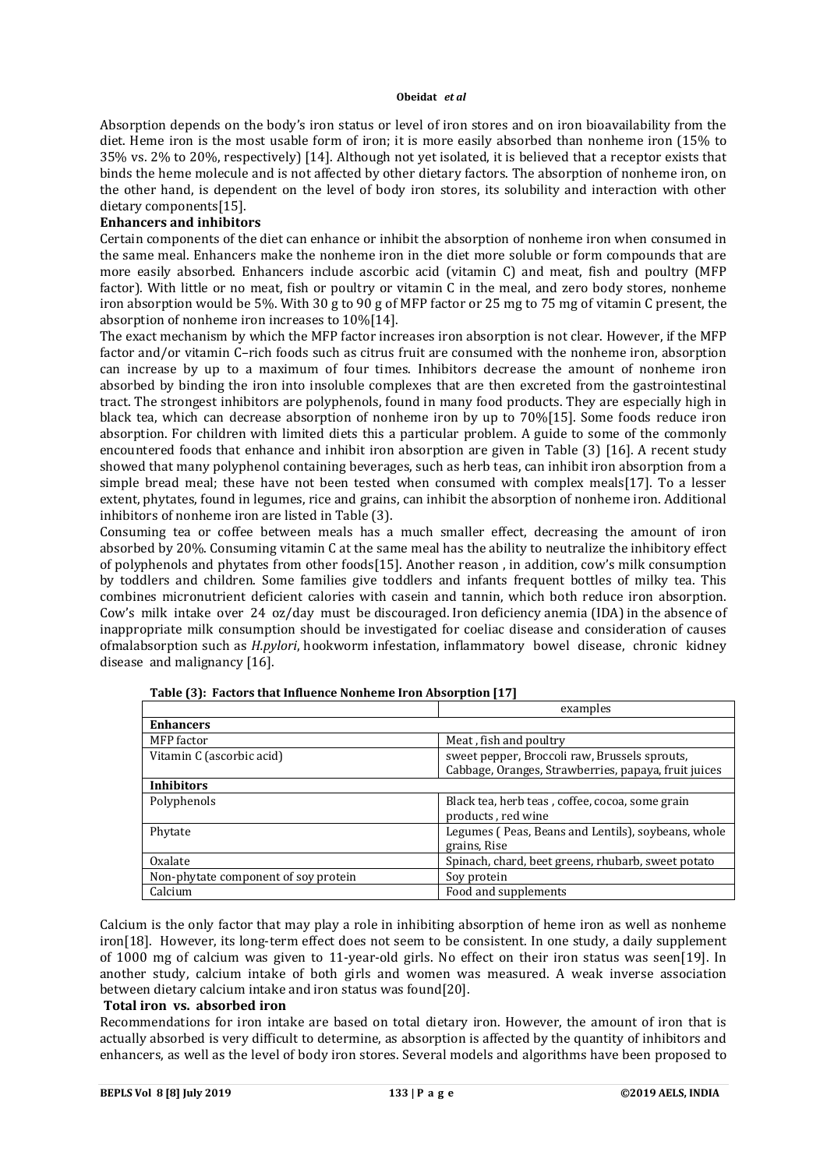Absorption depends on the body's iron status or level of iron stores and on iron bioavailability from the diet. Heme iron is the most usable form of iron; it is more easily absorbed than nonheme iron (15% to 35% vs. 2% to 20%, respectively) [14]. Although not yet isolated, it is believed that a receptor exists that binds the heme molecule and is not affected by other dietary factors. The absorption of nonheme iron, on the other hand, is dependent on the level of body iron stores, its solubility and interaction with other dietary components[15].

#### **Enhancers and inhibitors**

Certain components of the diet can enhance or inhibit the absorption of nonheme iron when consumed in the same meal. Enhancers make the nonheme iron in the diet more soluble or form compounds that are more easily absorbed. Enhancers include ascorbic acid (vitamin C) and meat, fish and poultry (MFP factor). With little or no meat, fish or poultry or vitamin C in the meal, and zero body stores, nonheme iron absorption would be 5%. With 30 g to 90 g of MFP factor or 25 mg to 75 mg of vitamin C present, the absorption of nonheme iron increases to 10%[14].

The exact mechanism by which the MFP factor increases iron absorption is not clear. However, if the MFP factor and/or vitamin C–rich foods such as citrus fruit are consumed with the nonheme iron, absorption can increase by up to a maximum of four times. Inhibitors decrease the amount of nonheme iron absorbed by binding the iron into insoluble complexes that are then excreted from the gastrointestinal tract. The strongest inhibitors are polyphenols, found in many food products. They are especially high in black tea, which can decrease absorption of nonheme iron by up to 70%[15]. Some foods reduce iron absorption. For children with limited diets this a particular problem. A guide to some of the commonly encountered foods that enhance and inhibit iron absorption are given in Table (3) [16]. A recent study showed that many polyphenol containing beverages, such as herb teas, can inhibit iron absorption from a simple bread meal; these have not been tested when consumed with complex meals[17]. To a lesser extent, phytates, found in legumes, rice and grains, can inhibit the absorption of nonheme iron. Additional inhibitors of nonheme iron are listed in Table (3).

Consuming tea or coffee between meals has a much smaller effect, decreasing the amount of iron absorbed by 20%. Consuming vitamin C at the same meal has the ability to neutralize the inhibitory effect of polyphenols and phytates from other foods[15]. Another reason , in addition, cow's milk consumption by toddlers and children. Some families give toddlers and infants frequent bottles of milky tea. This combines micronutrient deficient calories with casein and tannin, which both reduce iron absorption. Cow's milk intake over 24 oz/day must be discouraged. Iron deficiency anemia (IDA) in the absence of inappropriate milk consumption should be investigated for coeliac disease and consideration of causes ofmalabsorption such as *H.pylori*, hookworm infestation, inflammatory bowel disease, chronic kidney disease and malignancy [16].

|                                      | examples                                             |  |
|--------------------------------------|------------------------------------------------------|--|
| <b>Enhancers</b>                     |                                                      |  |
| MFP factor                           | Meat, fish and poultry                               |  |
| Vitamin C (ascorbic acid)            | sweet pepper, Broccoli raw, Brussels sprouts,        |  |
|                                      | Cabbage, Oranges, Strawberries, papaya, fruit juices |  |
| <b>Inhibitors</b>                    |                                                      |  |
| Polyphenols                          | Black tea, herb teas, coffee, cocoa, some grain      |  |
|                                      | products, red wine                                   |  |
| Phytate                              | Legumes (Peas, Beans and Lentils), soybeans, whole   |  |
|                                      | grains, Rise                                         |  |
| Oxalate                              | Spinach, chard, beet greens, rhubarb, sweet potato   |  |
| Non-phytate component of soy protein | Soy protein                                          |  |
| Calcium                              | Food and supplements                                 |  |

|  | Table (3): Factors that Influence Nonheme Iron Absorption [17] |  |
|--|----------------------------------------------------------------|--|
|--|----------------------------------------------------------------|--|

Calcium is the only factor that may play a role in inhibiting absorption of heme iron as well as nonheme iron[18]. However, its long-term effect does not seem to be consistent. In one study, a daily supplement of 1000 mg of calcium was given to 11-year-old girls. No effect on their iron status was seen[19]. In another study, calcium intake of both girls and women was measured. A weak inverse association between dietary calcium intake and iron status was found[20].

## **Total iron vs. absorbed iron**

Recommendations for iron intake are based on total dietary iron. However, the amount of iron that is actually absorbed is very difficult to determine, as absorption is affected by the quantity of inhibitors and enhancers, as well as the level of body iron stores. Several models and algorithms have been proposed to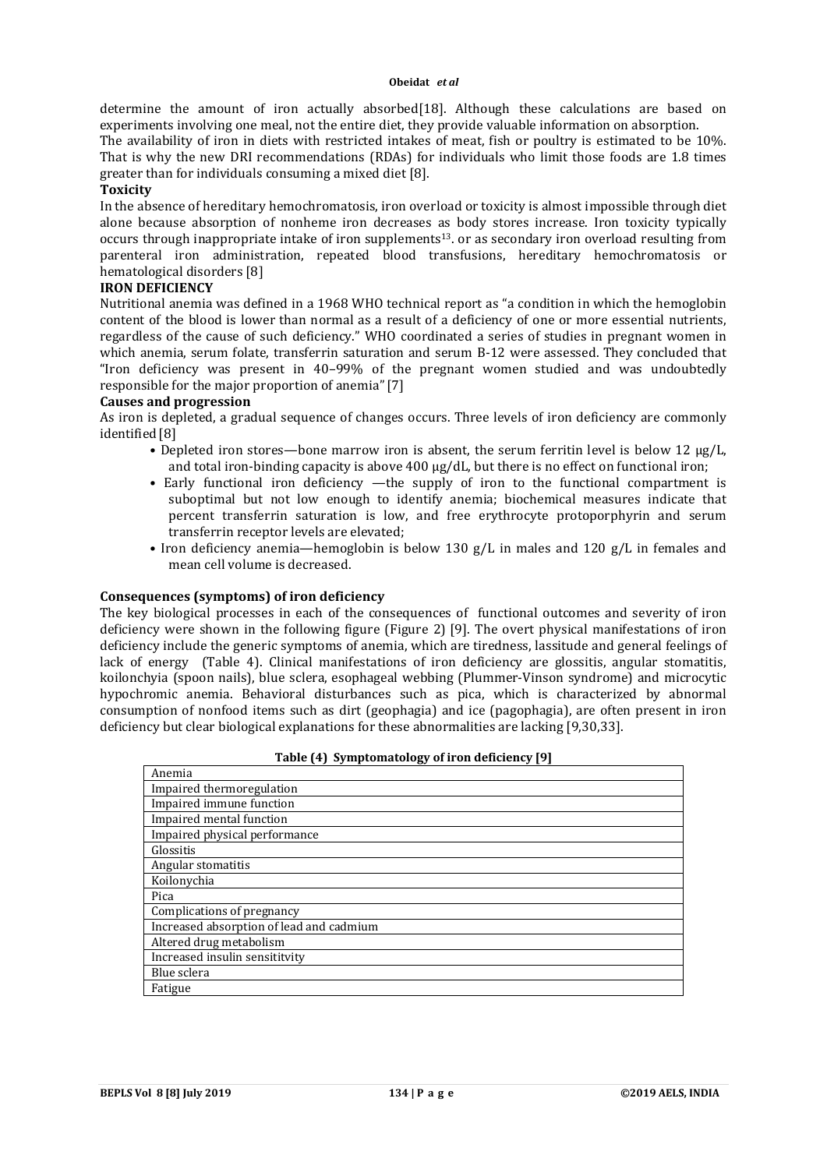determine the amount of iron actually absorbed[18]. Although these calculations are based on experiments involving one meal, not the entire diet, they provide valuable information on absorption.

The availability of iron in diets with restricted intakes of meat, fish or poultry is estimated to be 10%. That is why the new DRI recommendations (RDAs) for individuals who limit those foods are 1.8 times greater than for individuals consuming a mixed diet [8].

### **Toxicity**

In the absence of hereditary hemochromatosis, iron overload or toxicity is almost impossible through diet alone because absorption of nonheme iron decreases as body stores increase. Iron toxicity typically occurs through inappropriate intake of iron supplements13. or as secondary iron overload resulting from parenteral iron administration, repeated blood transfusions, hereditary hemochromatosis or hematological disorders [8]

## **IRON DEFICIENCY**

Nutritional anemia was defined in a 1968 WHO technical report as "a condition in which the hemoglobin content of the blood is lower than normal as a result of a deficiency of one or more essential nutrients, regardless of the cause of such deficiency." WHO coordinated a series of studies in pregnant women in which anemia, serum folate, transferrin saturation and serum B-12 were assessed. They concluded that "Iron deficiency was present in 40–99% of the pregnant women studied and was undoubtedly responsible for the major proportion of anemia"[7]

### **Causes and progression**

As iron is depleted, a gradual sequence of changes occurs. Three levels of iron deficiency are commonly identified [8]

- Depleted iron stores—bone marrow iron is absent, the serum ferritin level is below 12  $\mu$ g/L, and total iron-binding capacity is above 400 μg/dL, but there is no effect on functional iron;
- Early functional iron deficiency —the supply of iron to the functional compartment is suboptimal but not low enough to identify anemia; biochemical measures indicate that percent transferrin saturation is low, and free erythrocyte protoporphyrin and serum transferrin receptor levels are elevated;
- Iron deficiency anemia—hemoglobin is below 130 g/L in males and 120 g/L in females and mean cell volume is decreased.

### **Consequences (symptoms) of iron deficiency**

The key biological processes in each of the consequences of functional outcomes and severity of iron deficiency were shown in the following figure (Figure 2) [9]. The overt physical manifestations of iron deficiency include the generic symptoms of anemia, which are tiredness, lassitude and general feelings of lack of energy (Table 4). Clinical manifestations of iron deficiency are glossitis, angular stomatitis, koilonchyia (spoon nails), blue sclera, esophageal webbing (Plummer-Vinson syndrome) and microcytic hypochromic anemia. Behavioral disturbances such as pica, which is characterized by abnormal consumption of nonfood items such as dirt (geophagia) and ice (pagophagia), are often present in iron deficiency but clear biological explanations for these abnormalities are lacking [9,30,33].

| Table (4) Symptomatology of iron deficiency [9] |  |  |
|-------------------------------------------------|--|--|
|                                                 |  |  |

| Anemia                                   |
|------------------------------------------|
| Impaired thermoregulation                |
| Impaired immune function                 |
| Impaired mental function                 |
| Impaired physical performance            |
| Glossitis                                |
| Angular stomatitis                       |
| Koilonychia                              |
| Pica                                     |
| Complications of pregnancy               |
| Increased absorption of lead and cadmium |
| Altered drug metabolism                  |
| Increased insulin sensititvity           |
| Blue sclera                              |
| Fatigue                                  |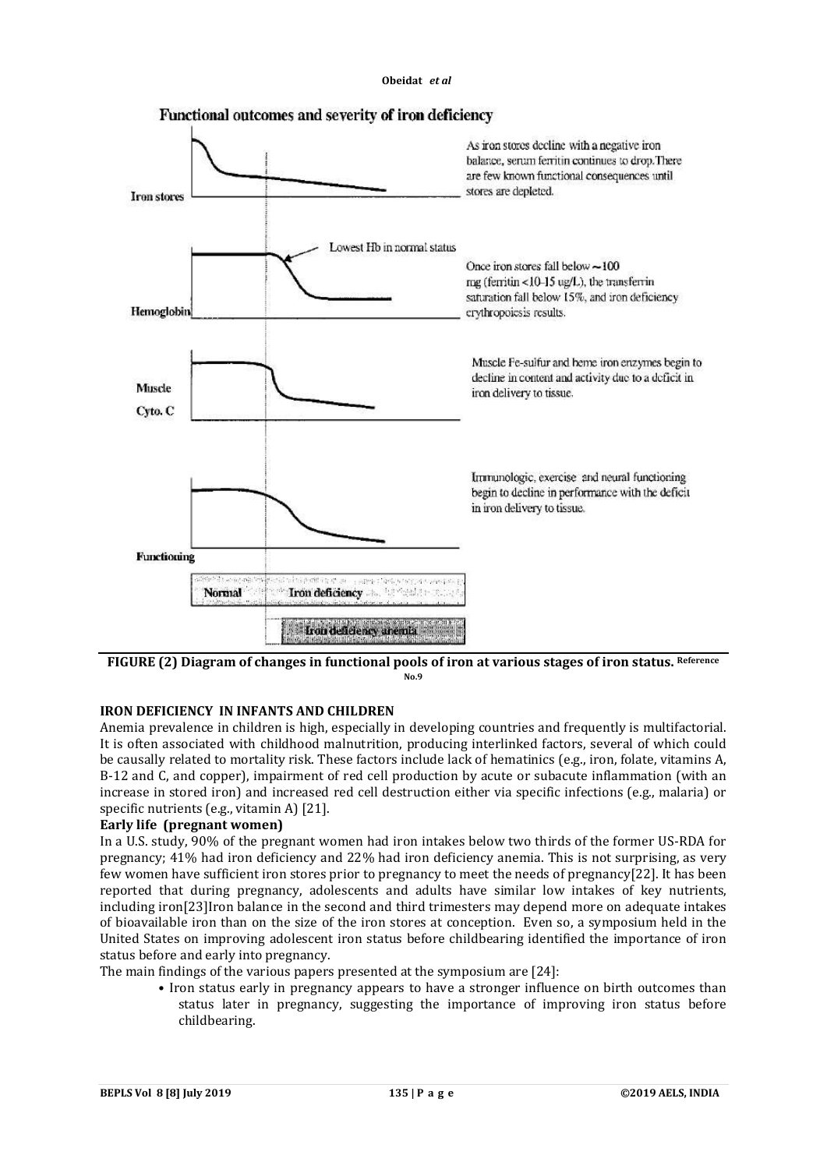

FIGURE (2) Diagram of changes in functional pools of iron at various stages of iron status. Reference **No.9**

### **IRON DEFICIENCY IN INFANTS AND CHILDREN**

Anemia prevalence in children is high, especially in developing countries and frequently is multifactorial. It is often associated with childhood malnutrition, producing interlinked factors, several of which could be causally related to mortality risk. These factors include lack of hematinics (e.g., iron, folate, vitamins A, B-12 and C, and copper), impairment of red cell production by acute or subacute inflammation (with an increase in stored iron) and increased red cell destruction either via specific infections (e.g., malaria) or specific nutrients (e.g., vitamin A) [21].

### **Early life (pregnant women)**

In a U.S. study, 90% of the pregnant women had iron intakes below two thirds of the former US-RDA for pregnancy; 41% had iron deficiency and 22% had iron deficiency anemia. This is not surprising, as very few women have sufficient iron stores prior to pregnancy to meet the needs of pregnancy[22]. It has been reported that during pregnancy, adolescents and adults have similar low intakes of key nutrients, including iron[23]Iron balance in the second and third trimesters may depend more on adequate intakes of bioavailable iron than on the size of the iron stores at conception. Even so, a symposium held in the United States on improving adolescent iron status before childbearing identified the importance of iron status before and early into pregnancy.

The main findings of the various papers presented at the symposium are [24]:

 • Iron status early in pregnancy appears to have a stronger influence on birth outcomes than status later in pregnancy, suggesting the importance of improving iron status before childbearing.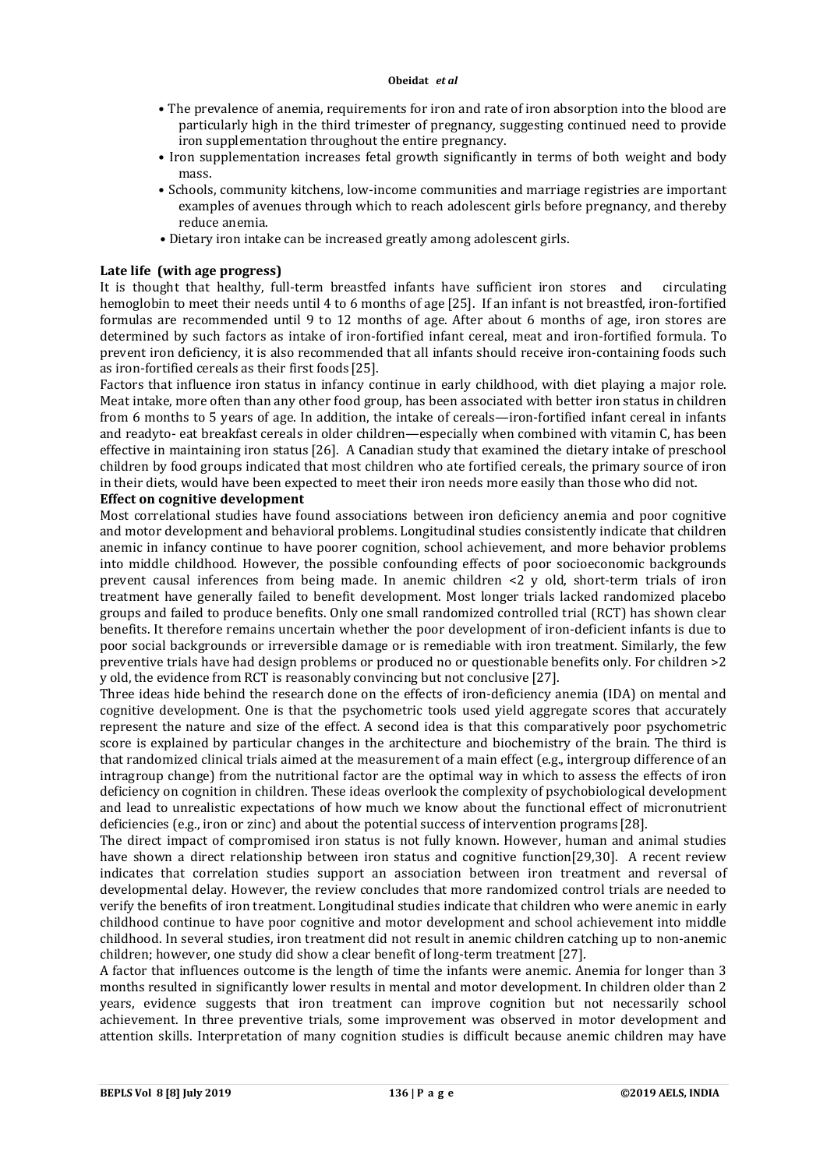- The prevalence of anemia, requirements for iron and rate of iron absorption into the blood are particularly high in the third trimester of pregnancy, suggesting continued need to provide iron supplementation throughout the entire pregnancy.
- Iron supplementation increases fetal growth significantly in terms of both weight and body mass.
- Schools, community kitchens, low-income communities and marriage registries are important examples of avenues through which to reach adolescent girls before pregnancy, and thereby reduce anemia.
- Dietary iron intake can be increased greatly among adolescent girls.

## **Late life (with age progress)**

It is thought that healthy, full-term breastfed infants have sufficient iron stores and circulating hemoglobin to meet their needs until 4 to 6 months of age [25]. If an infant is not breastfed, iron-fortified formulas are recommended until 9 to 12 months of age. After about 6 months of age, iron stores are determined by such factors as intake of iron-fortified infant cereal, meat and iron-fortified formula. To prevent iron deficiency, it is also recommended that all infants should receive iron-containing foods such as iron-fortified cereals as their first foods [25].

Factors that influence iron status in infancy continue in early childhood, with diet playing a major role. Meat intake, more often than any other food group, has been associated with better iron status in children from 6 months to 5 years of age. In addition, the intake of cereals—iron-fortified infant cereal in infants and readyto- eat breakfast cereals in older children—especially when combined with vitamin C, has been effective in maintaining iron status [26]. A Canadian study that examined the dietary intake of preschool children by food groups indicated that most children who ate fortified cereals, the primary source of iron in their diets, would have been expected to meet their iron needs more easily than those who did not.

## **Effect on cognitive development**

Most correlational studies have found associations between iron deficiency anemia and poor cognitive and motor development and behavioral problems. Longitudinal studies consistently indicate that children anemic in infancy continue to have poorer cognition, school achievement, and more behavior problems into middle childhood. However, the possible confounding effects of poor socioeconomic backgrounds prevent causal inferences from being made. In anemic children <2 y old, short-term trials of iron treatment have generally failed to benefit development. Most longer trials lacked randomized placebo groups and failed to produce benefits. Only one small randomized controlled trial (RCT) has shown clear benefits. It therefore remains uncertain whether the poor development of iron-deficient infants is due to poor social backgrounds or irreversible damage or is remediable with iron treatment. Similarly, the few preventive trials have had design problems or produced no or questionable benefits only. For children >2 y old, the evidence from RCT is reasonably convincing but not conclusive [27].

Three ideas hide behind the research done on the effects of iron-deficiency anemia (IDA) on mental and cognitive development. One is that the psychometric tools used yield aggregate scores that accurately represent the nature and size of the effect. A second idea is that this comparatively poor psychometric score is explained by particular changes in the architecture and biochemistry of the brain. The third is that randomized clinical trials aimed at the measurement of a main effect (e.g., intergroup difference of an intragroup change) from the nutritional factor are the optimal way in which to assess the effects of iron deficiency on cognition in children. These ideas overlook the complexity of psychobiological development and lead to unrealistic expectations of how much we know about the functional effect of micronutrient deficiencies (e.g., iron or zinc) and about the potential success of intervention programs [28].

The direct impact of compromised iron status is not fully known. However, human and animal studies have shown a direct relationship between iron status and cognitive function[29,30]. A recent review indicates that correlation studies support an association between iron treatment and reversal of developmental delay. However, the review concludes that more randomized control trials are needed to verify the benefits of iron treatment. Longitudinal studies indicate that children who were anemic in early childhood continue to have poor cognitive and motor development and school achievement into middle childhood. In several studies, iron treatment did not result in anemic children catching up to non-anemic children; however, one study did show a clear benefit of long-term treatment [27].

A factor that influences outcome is the length of time the infants were anemic. Anemia for longer than 3 months resulted in significantly lower results in mental and motor development. In children older than 2 years, evidence suggests that iron treatment can improve cognition but not necessarily school achievement. In three preventive trials, some improvement was observed in motor development and attention skills. Interpretation of many cognition studies is difficult because anemic children may have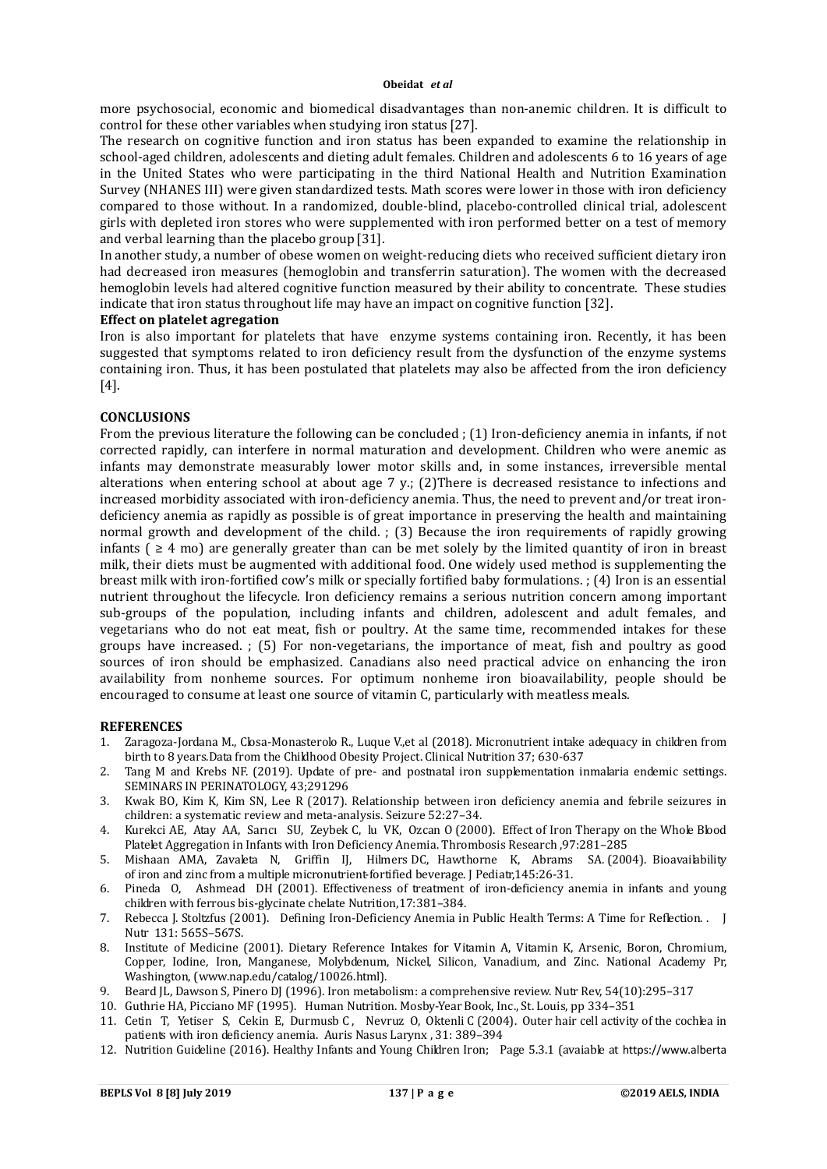more psychosocial, economic and biomedical disadvantages than non-anemic children. It is difficult to control for these other variables when studying iron status [27].

The research on cognitive function and iron status has been expanded to examine the relationship in school-aged children, adolescents and dieting adult females. Children and adolescents 6 to 16 years of age in the United States who were participating in the third National Health and Nutrition Examination Survey (NHANES III) were given standardized tests. Math scores were lower in those with iron deficiency compared to those without. In a randomized, double-blind, placebo-controlled clinical trial, adolescent girls with depleted iron stores who were supplemented with iron performed better on a test of memory and verbal learning than the placebo group [31].

In another study, a number of obese women on weight-reducing diets who received sufficient dietary iron had decreased iron measures (hemoglobin and transferrin saturation). The women with the decreased hemoglobin levels had altered cognitive function measured by their ability to concentrate. These studies indicate that iron status throughout life may have an impact on cognitive function [32].

#### **Effect on platelet agregation**

Iron is also important for platelets that have enzyme systems containing iron. Recently, it has been suggested that symptoms related to iron deficiency result from the dysfunction of the enzyme systems containing iron. Thus, it has been postulated that platelets may also be affected from the iron deficiency [4].

## **CONCLUSIONS**

From the previous literature the following can be concluded ; (1) Iron-deficiency anemia in infants, if not corrected rapidly, can interfere in normal maturation and development. Children who were anemic as infants may demonstrate measurably lower motor skills and, in some instances, irreversible mental alterations when entering school at about age 7 y.; (2)There is decreased resistance to infections and increased morbidity associated with iron-deficiency anemia. Thus, the need to prevent and/or treat irondeficiency anemia as rapidly as possible is of great importance in preserving the health and maintaining normal growth and development of the child. ; (3) Because the iron requirements of rapidly growing infants ( $\geq 4$  mo) are generally greater than can be met solely by the limited quantity of iron in breast milk, their diets must be augmented with additional food. One widely used method is supplementing the breast milk with iron-fortified cow's milk or specially fortified baby formulations. ; (4) Iron is an essential nutrient throughout the lifecycle. Iron deficiency remains a serious nutrition concern among important sub-groups of the population, including infants and children, adolescent and adult females, and vegetarians who do not eat meat, fish or poultry. At the same time, recommended intakes for these groups have increased. ; (5) For non-vegetarians, the importance of meat, fish and poultry as good sources of iron should be emphasized. Canadians also need practical advice on enhancing the iron availability from nonheme sources. For optimum nonheme iron bioavailability, people should be encouraged to consume at least one source of vitamin C, particularly with meatless meals.

#### **REFERENCES**

- 1. Zaragoza-Jordana M., Closa-Monasterolo R., Luque V.,et al (2018). Micronutrient intake adequacy in children from birth to 8 years.Data from the Childhood Obesity Project. Clinical Nutrition 37; 630-637
- 2. Tang M and Krebs NF. (2019). Update of pre- and postnatal iron supplementation inmalaria endemic settings. SEMINARS IN PERINATOLOGY, 43;291296
- 3. Kwak BO, Kim K, Kim SN, Lee R (2017). Relationship between iron deficiency anemia and febrile seizures in children: a systematic review and meta-analysis. Seizure 52:27–34.
- 4. Kurekci AE, Atay AA, Sarıcı SU, Zeybek C, lu VK, Ozcan O (2000). Effect of Iron Therapy on the Whole Blood Platelet Aggregation in Infants with Iron Deficiency Anemia. Thrombosis Research ,97:281–285
- 5. Mishaan AMA, Zavaleta N, Griffin IJ, Hilmers DC, Hawthorne K, Abrams SA. (2004). Bioavailability of iron and zinc from a multiple micronutrient-fortified beverage. J Pediatr,145:26-31.
- 6. Pineda O, Ashmead DH (2001). Effectiveness of treatment of iron-deficiency anemia in infants and young children with ferrous bis-glycinate chelate Nutrition,17:381–384.
- 7. Rebecca J. Stoltzfus (2001). Defining Iron-Deficiency Anemia in Public Health Terms: A Time for Reflection. . J Nutr 131: 565S–567S.
- 8. Institute of Medicine (2001). Dietary Reference Intakes for Vitamin A, Vitamin K, Arsenic, Boron, Chromium, Copper, Iodine, Iron, Manganese, Molybdenum, Nickel, Silicon, Vanadium, and Zinc. National Academy Pr, Washington, (www.nap.edu/catalog/10026.html).
- 9. Beard JL, Dawson S, Pinero DJ (1996). Iron metabolism: a comprehensive review. Nutr Rev, 54(10):295-317
- 10. Guthrie HA, Picciano MF (1995). Human Nutrition. Mosby-Year Book, Inc., St. Louis, pp 334–351
- 11. Cetin T, Yetiser S, Cekin E, Durmusb C, Nevruz O, Oktenli C (2004). Outer hair cell activity of the cochlea in patients with iron deficiency anemia. Auris Nasus Larynx , 31: 389–394
- 12. Nutrition Guideline (2016). Healthy Infants and Young Children Iron; Page 5.3.1 (avaiable at https://www.alberta